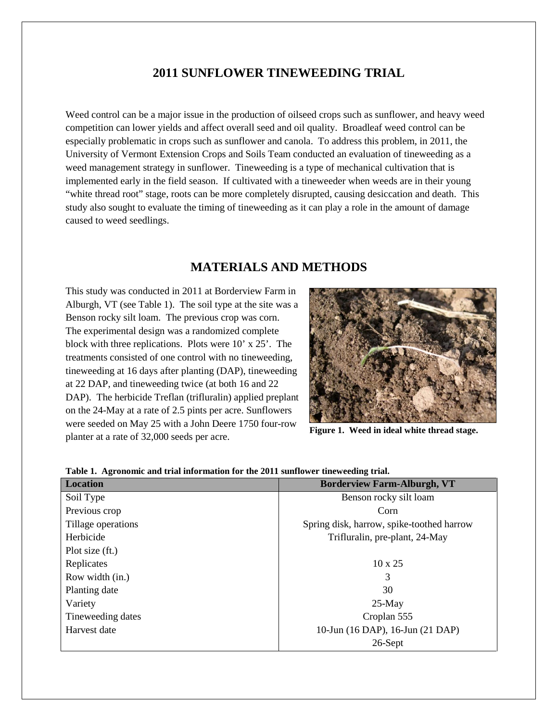# **2011 SUNFLOWER TINEWEEDING TRIAL**

Weed control can be a major issue in the production of oilseed crops such as sunflower, and heavy weed competition can lower yields and affect overall seed and oil quality. Broadleaf weed control can be especially problematic in crops such as sunflower and canola. To address this problem, in 2011, the University of Vermont Extension Crops and Soils Team conducted an evaluation of tineweeding as a weed management strategy in sunflower. Tineweeding is a type of mechanical cultivation that is implemented early in the field season. If cultivated with a tineweeder when weeds are in their young "white thread root" stage, roots can be more completely disrupted, causing desiccation and death. This study also sought to evaluate the timing of tineweeding as it can play a role in the amount of damage caused to weed seedlings.

# **MATERIALS AND METHODS**

This study was conducted in 2011 at Borderview Farm in Alburgh, VT (see Table 1). The soil type at the site was a Benson rocky silt loam. The previous crop was corn. The experimental design was a randomized complete block with three replications. Plots were 10' x 25'. The treatments consisted of one control with no tineweeding, tineweeding at 16 days after planting (DAP), tineweeding at 22 DAP, and tineweeding twice (at both 16 and 22 DAP). The herbicide Treflan (trifluralin) applied preplant on the 24-May at a rate of 2.5 pints per acre. Sunflowers were seeded on May 25 with a John Deere 1750 four-row planter at a rate of 32,000 seeds per acre.



**Figure 1. Weed in ideal white thread stage.**

| <b>Location</b>    | <b>Borderview Farm-Alburgh, VT</b>        |  |  |  |  |
|--------------------|-------------------------------------------|--|--|--|--|
| Soil Type          | Benson rocky silt loam                    |  |  |  |  |
| Previous crop      | Corn                                      |  |  |  |  |
| Tillage operations | Spring disk, harrow, spike-toothed harrow |  |  |  |  |
| Herbicide          | Trifluralin, pre-plant, 24-May            |  |  |  |  |
| Plot size (ft.)    |                                           |  |  |  |  |
| Replicates         | $10 \times 25$                            |  |  |  |  |
| Row width (in.)    | 3                                         |  |  |  |  |
| Planting date      | 30                                        |  |  |  |  |
| Variety            | $25-May$                                  |  |  |  |  |
| Tineweeding dates  | Croplan 555                               |  |  |  |  |
| Harvest date       | 10-Jun (16 DAP), 16-Jun (21 DAP)          |  |  |  |  |
|                    | 26-Sept                                   |  |  |  |  |

#### **Table 1. Agronomic and trial information for the 2011 sunflower tineweeding trial.**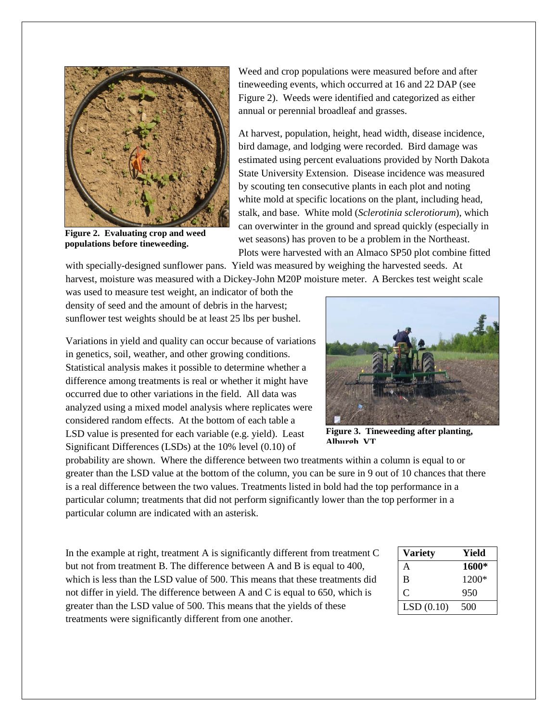

**Figure 2. Evaluating crop and weed populations before tineweeding.**

Weed and crop populations were measured before and after tineweeding events, which occurred at 16 and 22 DAP (see Figure 2). Weeds were identified and categorized as either annual or perennial broadleaf and grasses.

At harvest, population, height, head width, disease incidence, bird damage, and lodging were recorded. Bird damage was estimated using percent evaluations provided by North Dakota State University Extension. Disease incidence was measured by scouting ten consecutive plants in each plot and noting white mold at specific locations on the plant, including head, stalk, and base. White mold (*Sclerotinia sclerotiorum*), which can overwinter in the ground and spread quickly (especially in wet seasons) has proven to be a problem in the Northeast. Plots were harvested with an Almaco SP50 plot combine fitted

with specially-designed sunflower pans. Yield was measured by weighing the harvested seeds. At harvest, moisture was measured with a Dickey-John M20P moisture meter. A Berckes test weight scale

was used to measure test weight, an indicator of both the density of seed and the amount of debris in the harvest; sunflower test weights should be at least 25 lbs per bushel.

Variations in yield and quality can occur because of variations in genetics, soil, weather, and other growing conditions. Statistical analysis makes it possible to determine whether a difference among treatments is real or whether it might have occurred due to other variations in the field. All data was analyzed using a mixed model analysis where replicates were considered random effects. At the bottom of each table a LSD value is presented for each variable (e.g. yield). Least Significant Differences (LSDs) at the 10% level (0.10) of



**Figure 3. Tineweeding after planting, Alburgh VT**

probability are shown. Where the difference between two treatments within a column is equal to or greater than the LSD value at the bottom of the column, you can be sure in 9 out of 10 chances that there is a real difference between the two values. Treatments listed in bold had the top performance in a particular column; treatments that did not perform significantly lower than the top performer in a particular column are indicated with an asterisk.

In the example at right, treatment A is significantly different from treatment C but not from treatment B. The difference between A and B is equal to 400, which is less than the LSD value of 500. This means that these treatments did not differ in yield. The difference between A and C is equal to 650, which is greater than the LSD value of 500. This means that the yields of these treatments were significantly different from one another.

| <b>Variety</b> | Yield |
|----------------|-------|
| А              | 1600* |
| B              | 1200* |
| C              | 950   |
| LSD(0.10)      | 500   |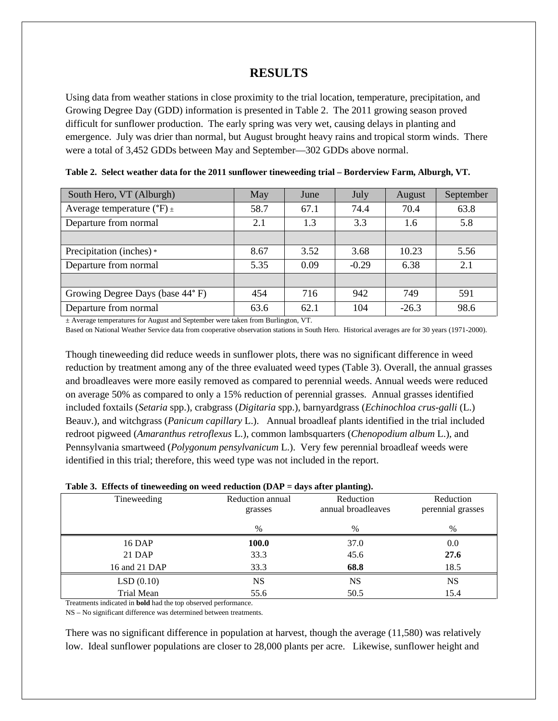### **RESULTS**

Using data from weather stations in close proximity to the trial location, temperature, precipitation, and Growing Degree Day (GDD) information is presented in Table 2. The 2011 growing season proved difficult for sunflower production. The early spring was very wet, causing delays in planting and emergence. July was drier than normal, but August brought heavy rains and tropical storm winds. There were a total of 3,452 GDDs between May and September—302 GDDs above normal.

| South Hero, VT (Alburgh)                  | May  | June       | July    | August  | September |
|-------------------------------------------|------|------------|---------|---------|-----------|
| Average temperature $({}^{\circ}F)_{\pm}$ | 58.7 | 67.1       | 74.4    | 70.4    | 63.8      |
| Departure from normal                     | 2.1  | 3.3<br>1.3 |         | 1.6     | 5.8       |
|                                           |      |            |         |         |           |
| Precipitation (inches) *                  | 8.67 | 3.52       | 3.68    | 10.23   | 5.56      |
| Departure from normal                     | 5.35 | 0.09       | $-0.29$ | 6.38    | 2.1       |
|                                           |      |            |         |         |           |
| Growing Degree Days (base 44°F)           | 454  | 716        | 942     | 749     | 591       |
| Departure from normal                     | 63.6 | 62.1       | 104     | $-26.3$ | 98.6      |

**Table 2. Select weather data for the 2011 sunflower tineweeding trial – Borderview Farm, Alburgh, VT.**

± Average temperatures for August and September were taken from Burlington, VT.

Based on National Weather Service data from cooperative observation stations in South Hero. Historical averages are for 30 years (1971-2000).

Though tineweeding did reduce weeds in sunflower plots, there was no significant difference in weed reduction by treatment among any of the three evaluated weed types (Table 3). Overall, the annual grasses and broadleaves were more easily removed as compared to perennial weeds. Annual weeds were reduced on average 50% as compared to only a 15% reduction of perennial grasses. Annual grasses identified included foxtails (*Setaria* spp.), crabgrass (*Digitaria* spp.), barnyardgrass (*Echinochloa crus-galli* (L.) Beauv.), and witchgrass (*Panicum capillary* L.). Annual broadleaf plants identified in the trial included redroot pigweed (*Amaranthus retroflexus* L.), common lambsquarters (*Chenopodium album* L.), and Pennsylvania smartweed (*Polygonum pensylvanicum* L.). Very few perennial broadleaf weeds were identified in this trial; therefore, this weed type was not included in the report.

| Table 3. Effects of tineweeding on weed reduction (DAP = days after planting). |  |  |  |
|--------------------------------------------------------------------------------|--|--|--|
|                                                                                |  |  |  |

| Tineweeding   | Reduction annual<br>grasses | Reduction<br>annual broadleaves | Reduction<br>perennial grasses |
|---------------|-----------------------------|---------------------------------|--------------------------------|
|               | %                           | $\%$                            | $\%$                           |
| 16 DAP        | 100.0                       | 37.0                            | 0.0                            |
| 21 DAP        | 33.3                        | 45.6                            | 27.6                           |
| 16 and 21 DAP | 33.3                        | 68.8                            | 18.5                           |
| LSD(0.10)     | NS                          | NS                              | <b>NS</b>                      |
| Trial Mean    | 55.6                        | 50.5                            | 15.4                           |

Treatments indicated in **bold** had the top observed performance.

NS – No significant difference was determined between treatments.

There was no significant difference in population at harvest, though the average (11,580) was relatively low. Ideal sunflower populations are closer to 28,000 plants per acre. Likewise, sunflower height and